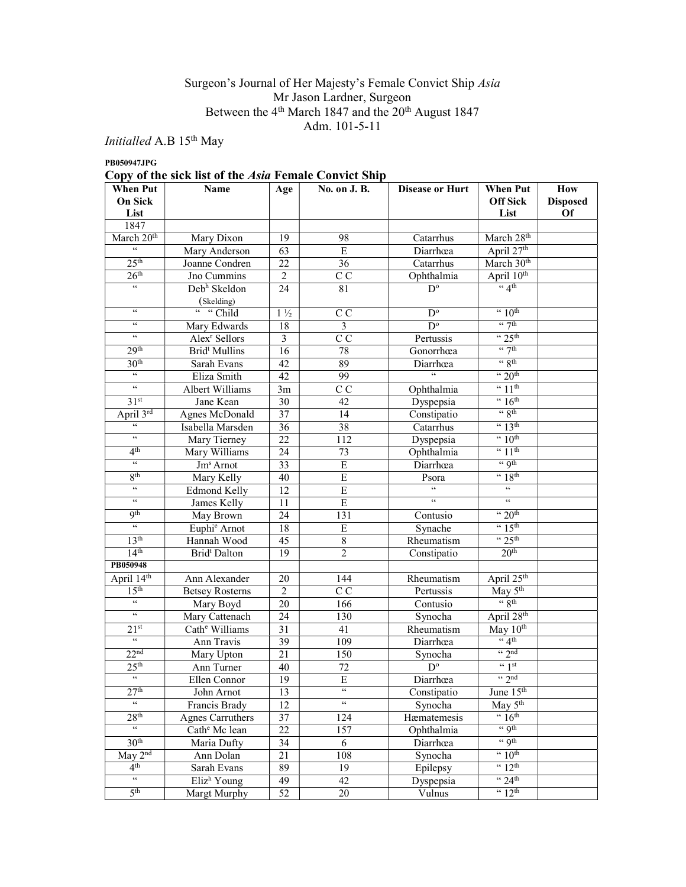#### Surgeon's Journal of Her Majesty's Female Convict Ship Asia Mr Jason Lardner, Surgeon Between the  $4<sup>th</sup>$  March 1847 and the  $20<sup>th</sup>$  August 1847 Adm. 101-5-11

 $Initialled$  A.B  $15^{\rm th}$  May

PB050947JPG

# Copy of the sick list of the Asia Female Convict Ship

| <b>When Put</b>                            | <b>Name</b>                | Age             | No. on J. B.                               | <b>Disease or Hurt</b> | <b>When Put</b>                           | How             |
|--------------------------------------------|----------------------------|-----------------|--------------------------------------------|------------------------|-------------------------------------------|-----------------|
| <b>On Sick</b>                             |                            |                 |                                            |                        | <b>Off Sick</b>                           | <b>Disposed</b> |
| List                                       |                            |                 |                                            |                        | List                                      | <b>Of</b>       |
| 1847                                       |                            |                 |                                            |                        |                                           |                 |
| March 20 <sup>th</sup><br>66               | Mary Dixon                 | 19              | 98                                         | Catarrhus              | March 28th                                |                 |
|                                            | Mary Anderson              | 63              | E                                          | Diarrhœa               | April 27th                                |                 |
| 25 <sup>th</sup>                           | Joanne Condren             | 22              | 36                                         | Catarrhus              | March 30 <sup>th</sup>                    |                 |
| 26 <sup>th</sup>                           | Jno Cummins                | $\overline{c}$  | C C                                        | Ophthalmia             | April 10th                                |                 |
| $\mathfrak{c}\mathfrak{c}$                 | Debh Skeldon               | $\overline{24}$ | $\overline{81}$                            | $D^{\circ}$            | 4th                                       |                 |
|                                            | (Skelding)                 |                 |                                            |                        |                                           |                 |
| $\epsilon\,\epsilon$                       | " "Child                   | $1\frac{1}{2}$  | C C                                        | $D^{\circ}$            | $\cdot \cdot 10^{\text{th}}$              |                 |
| $\epsilon\,\epsilon$                       | Mary Edwards               | 18              | $\overline{3}$                             | $\overline{D^o}$       | $\lq \lq \lq$ 7th                         |                 |
| $\epsilon\epsilon$                         | Alex <sup>r</sup> Sellors  | $\overline{3}$  | C C                                        | Pertussis              | $\cdot \cdot 25$ <sup>th</sup>            |                 |
| 29 <sup>th</sup>                           | Brid <sup>t</sup> Mullins  | 16              | 78                                         | Gonorrhœa              | $\lq$ 7th                                 |                 |
| 30 <sup>th</sup>                           | Sarah Evans                | 42              | 89                                         | Diarrhœa               | $\lq\lq 8$ th                             |                 |
| $\epsilon\epsilon$                         | Eliza Smith                | 42              | 99                                         |                        | $\cdot \cdot 20$ <sup>th</sup>            |                 |
| $\epsilon\epsilon$                         | Albert Williams            | 3m              | $\overline{C}$                             | Ophthalmia             | $\frac{4}{11}$ th                         |                 |
| 31 <sup>st</sup>                           | Jane Kean                  | 30              | 42                                         | Dyspepsia              | $\cdot \cdot 16$ <sup>th</sup>            |                 |
| April 3rd                                  | Agnes McDonald             | 37              | 14                                         | Constipatio            | $\lq\lq 8$ th                             |                 |
| 66                                         | Isabella Marsden           | $\overline{36}$ | 38                                         | Catarrhus              | $\frac{4}{13}$ th                         |                 |
| $\epsilon$                                 | Mary Tierney               | 22              | 112                                        | Dyspepsia              | $\cdot$ 10 <sup>th</sup>                  |                 |
| 4 <sup>th</sup>                            | Mary Williams              | 24              | 73                                         | Ophthalmia             | $\frac{4}{11}$ th                         |                 |
| $\overline{66}$                            | Jm <sup>s</sup> Arnot      | 33              | $\overline{E}$                             | Diarrhœa               | $\lq$ qth                                 |                 |
| 8 <sup>th</sup>                            | Mary Kelly                 | 40              | $\overline{E}$                             | Psora                  | $~4$ $~18$ <sup>th</sup>                  |                 |
| $\epsilon\epsilon$                         | <b>Edmond Kelly</b>        | 12              | $\overline{E}$                             | $\overline{66}$        | $\zeta\,\zeta$                            |                 |
| $\epsilon\epsilon$                         | James Kelly                | 11              | $\overline{E}$                             | $\epsilon$             | $\mathfrak{c}\mathfrak{c}$                |                 |
| <b>Qth</b>                                 | May Brown                  | $\overline{24}$ | $\overline{131}$                           | Contusio               | $\cdot \cdot 20$ <sup>th</sup>            |                 |
| $\overline{\mathfrak{c}\mathfrak{c}}$      | Euphi <sup>e</sup> Arnot   | 18              | E                                          | Synache                | $\cdot \cdot 15^{\text{th}}$              |                 |
| 13 <sup>th</sup>                           | Hannah Wood                | 45              | $\,$ 8 $\,$                                | Rheumatism             | $\cdot \cdot 25$ <sup>th</sup>            |                 |
| 14 <sup>th</sup>                           | Brid <sup>t</sup> Dalton   | 19              | $\overline{c}$                             | Constipatio            | 20 <sup>th</sup>                          |                 |
| PB050948                                   |                            |                 |                                            |                        |                                           |                 |
| April 14th                                 | Ann Alexander              | 20              | 144                                        | Rheumatism             | April 25 <sup>th</sup>                    |                 |
| 15 <sup>th</sup>                           | <b>Betsey Rosterns</b>     | $\overline{2}$  | $\overline{C}$                             | Pertussis              | $\overline{\text{May } 5^{\text{th}}}$    |                 |
| $\epsilon\epsilon$                         | Mary Boyd                  | 20              | 166                                        | Contusio               | $\frac{1}{3}$ 8th                         |                 |
| $\epsilon\epsilon$                         | Mary Cattenach             | $\overline{24}$ | 130                                        | Synocha                | April 28th                                |                 |
| 21 <sup>st</sup>                           | Cath <sup>e</sup> Williams | 31              | 41                                         | Rheumatism             | May $10th$                                |                 |
| $\epsilon\epsilon$                         | Ann Travis                 | 39              | 109                                        | Diarrhœa               | $\frac{4}{4}$                             |                 |
| 22 <sup>nd</sup>                           | Mary Upton                 | 21              | 150                                        | Synocha                | $\lq \lq$ 2nd                             |                 |
| 25 <sup>th</sup>                           | Ann Turner                 | 40              | 72                                         | $\overline{D^o}$       | $\frac{1}{3}$ st                          |                 |
| $\boldsymbol{\zeta} \, \boldsymbol{\zeta}$ | Ellen Connor               | 19              | E                                          | Diarrhœa               | $\frac{1}{2}$ or $\frac{1}{2}$            |                 |
| 27 <sup>th</sup>                           | John Arnot                 | 13              | $\zeta\,\zeta$                             | Constipatio            | June $15th$                               |                 |
| $\epsilon\epsilon$                         | Francis Brady              | 12              | $\boldsymbol{\zeta} \, \boldsymbol{\zeta}$ | Synocha                | May $5^{\text{th}}$                       |                 |
| 28 <sup>th</sup>                           | <b>Agnes Carruthers</b>    | 37              | 124                                        | Hæmatemesis            | $\cdot \cdot 16^{\text{th}}$              |                 |
| $\zeta\,\zeta$                             | Cath <sup>e</sup> Mc lean  | 22              | 157                                        | Ophthalmia             | $\lq$ . $Qth$                             |                 |
| 30 <sup>th</sup>                           | Maria Dufty                | 34              | 6                                          | Diarrhœa               | $\frac{1}{2}$ of the set of $\frac{1}{2}$ |                 |
| $\overline{\text{May }2^{\text{nd}}}$      | Ann Dolan                  | 21              | 108                                        | Synocha                | $\cdot \cdot 10$ <sup>th</sup>            |                 |
| 4 <sup>th</sup>                            | Sarah Evans                | 89              | 19                                         | Epilepsy               | $\cdot \cdot 12$ <sup>th</sup>            |                 |
| $\epsilon\,\epsilon$                       | $E$ liz <sup>h</sup> Young | 49              | 42                                         | Dyspepsia              | $\cdot \cdot 24^{\text{th}}$              |                 |
| 5 <sup>th</sup>                            | Margt Murphy               | 52              | 20                                         | Vulnus                 | $\cdot \cdot 12^{\text{th}}$              |                 |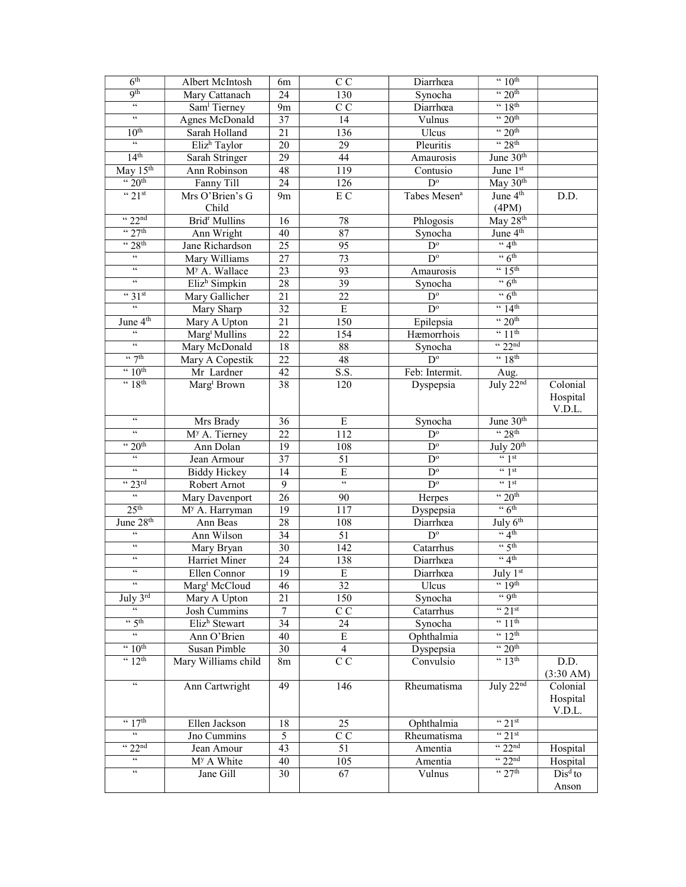| 6 <sup>th</sup>                       | Albert McIntosh                  | 6m              | C <sub>C</sub>             | Diarrhœa                 | $\cdot \cdot 10^{\text{th}}$           |           |
|---------------------------------------|----------------------------------|-----------------|----------------------------|--------------------------|----------------------------------------|-----------|
| <b>9th</b>                            | Mary Cattanach                   | 24              | 130                        | Synocha                  | $\cdot \cdot 20$ <sup>th</sup>         |           |
| $\mathfrak{c}\mathfrak{c}$            | Sam <sup>1</sup> Tierney         | 9m              | $\overline{C}$             | Diarrhœa                 | $~4$ $~18$ <sup>th</sup>               |           |
| $\epsilon\epsilon$                    | Agnes McDonald                   | $\overline{37}$ | $\overline{14}$            | Vulnus                   | $\cdot \cdot 20$ <sup>th</sup>         |           |
| 10 <sup>th</sup>                      | Sarah Holland                    | $\overline{21}$ | 136                        | Ulcus                    | $\cdot \cdot 20$ <sup>th</sup>         |           |
| $\epsilon\epsilon$                    | Eliz <sup>h</sup> Taylor         | $\overline{20}$ | 29                         | Pleuritis                | $\cdot \cdot 28$ <sup>th</sup>         |           |
| 14 <sup>th</sup>                      | Sarah Stringer                   | 29              | 44                         | Amaurosis                | June 30 <sup>th</sup>                  |           |
| May $15th$                            | Ann Robinson                     | 48              | 119                        | Contusio                 | June 1st                               |           |
| $\cdot \cdot 20$ <sup>th</sup>        | Fanny Till                       | $\overline{24}$ | 126                        | $D^{\circ}$              | May 30th                               |           |
| $~^{4}$ 21st                          | Mrs O'Brien's G                  | 9 <sub>m</sub>  | E C                        | Tabes Mesen <sup>a</sup> | June 4 <sup>th</sup>                   | D.D.      |
|                                       | Child                            |                 |                            |                          | (4PM)                                  |           |
| $\frac{1}{22}$ <sup>nd</sup>          | Brid <sup>r</sup> Mullins        | 16              | 78                         | Phlogosis                | $\overline{\text{May }28^{\text{th}}}$ |           |
| $\frac{1}{27}$ <sup>th</sup>          | Ann Wright                       | 40              | $\overline{87}$            | Synocha                  | June 4 <sup>th</sup>                   |           |
| $\cdot \cdot 28$ <sup>th</sup>        | Jane Richardson                  | 25              | 95                         | $\overline{D^{\circ}}$   | $\lq 4$ <sup>th</sup>                  |           |
| $\overline{\mathfrak{c}\mathfrak{c}}$ | Mary Williams                    | 27              | 73                         | $D^{\circ}$              | $\cdot \cdot 6$ <sup>th</sup>          |           |
| $\epsilon\,\epsilon$                  | M <sup>y</sup> A. Wallace        | $\overline{23}$ | 93                         | Amaurosis                | $\cdot \cdot 15^{\text{th}}$           |           |
| $\mathfrak{c}\mathfrak{c}$            | Eliz <sup>h</sup> Simpkin        | 28              | $\overline{39}$            | Synocha                  | $\cdot \cdot 6$ <sup>th</sup>          |           |
| $\cdot \cdot 31$ st                   | Mary Gallicher                   | 21              | $\overline{22}$            | $\overline{D^{\circ}}$   | $\cdot$ 6 <sup>th</sup>                |           |
| $\overline{66}$                       | Mary Sharp                       | 32              | $\overline{E}$             | $D^{\circ}$              | $\frac{4}{14}$                         |           |
| June 4 <sup>th</sup>                  | Mary A Upton                     | $\overline{21}$ | $\overline{150}$           | Epilepsia                | $\cdot \cdot 20$ <sup>th</sup>         |           |
| $\mathfrak{c}\mathfrak{c}$            | $\overline{\text{Marg}}$ Mullins | $\overline{22}$ | 154                        | Hæmorrhois               | $\frac{4}{11}$ th                      |           |
| $\epsilon\epsilon$                    | Mary McDonald                    | 18              | 88                         | Synocha                  | $\frac{1}{22}$ <sup>nd</sup>           |           |
| $\frac{1}{2}$                         | Mary A Copestik                  | $\overline{22}$ | 48                         | $\overline{D}^{\circ}$   | $~4$ 18 <sup>th</sup>                  |           |
| $\cdot \cdot 10^{\text{th}}$          | Mr Lardner                       | 42              | S.S.                       | Feb: Intermit.           | Aug.                                   |           |
| $~4$ 18 <sup>th</sup>                 | Marg <sup>t</sup> Brown          | 38              | 120                        | Dyspepsia                | July 22nd                              | Colonial  |
|                                       |                                  |                 |                            |                          |                                        | Hospital  |
|                                       |                                  |                 |                            |                          |                                        | V.D.L.    |
| $\epsilon\,\epsilon$                  | Mrs Brady                        | 36              | E                          | Synocha                  | June 30th                              |           |
| $\epsilon\,\epsilon$                  | M <sup>y</sup> A. Tierney        | 22              | 112                        | $\mathbf{D}^{\text{o}}$  | $\cdot$ 28 <sup>th</sup>               |           |
| $\cdot \cdot 20$ <sup>th</sup>        | Ann Dolan                        | 19              | 108                        | $\mathbf{D}^{\text{o}}$  | July 20 <sup>th</sup>                  |           |
| $\mathfrak{c}\mathfrak{c}$            | Jean Armour                      | 37              | 51                         | $\mathbf{D}^{\text{o}}$  | $\lq\lq$ st                            |           |
| $\mathfrak{c}\mathfrak{c}$            | <b>Biddy Hickey</b>              | 14              | E                          | $\overline{D^{\circ}}$   | $\frac{1}{3}$ st                       |           |
| $\frac{1}{2}$ 23rd                    | Robert Arnot                     | 9               | $\mathfrak{c}\mathfrak{c}$ | $\overline{D^o}$         | $\frac{1}{3}$ st                       |           |
| $\mathfrak{c}\mathfrak{c}$            | Mary Davenport                   | 26              | 90                         | Herpes                   | $\cdot \cdot 20$ <sup>th</sup>         |           |
| 25 <sup>th</sup>                      | M <sup>y</sup> A. Harryman       | 19              | 117                        | Dyspepsia                | $\cdot \cdot 6$ <sup>th</sup>          |           |
| June 28 <sup>th</sup>                 | Ann Beas                         | 28              | 108                        | Diarrhœa                 | July $6th$                             |           |
| $\zeta\,\zeta$                        | Ann Wilson                       | 34              | 51                         | $\mathbf{D}^{\text{o}}$  | $\frac{4}{4}$                          |           |
| $\epsilon\,\epsilon$                  | Mary Bryan                       | 30              | 142                        | Catarrhus                | $\frac{1}{2}$ 5th                      |           |
| $\zeta\,\zeta$                        | Harriet Miner                    | 24              | 138                        | Diarrhœa                 | $\lq$ <sup>4th</sup>                   |           |
| $\epsilon\,\epsilon$                  | Ellen Connor                     | 19              | ${\bf E}$                  | Diarrhœa                 | July 1st                               |           |
| $\epsilon\,\epsilon$                  | Marg <sup>t</sup> McCloud        | 46              | 32                         | Ulcus                    | " 19th                                 |           |
| July 3rd                              | Mary A Upton                     | 21              | 150                        | Synocha                  | $\leftarrow$ Qth                       |           |
| 66                                    | Josh Cummins                     | $\tau$          | $\overline{C}$             | Catarrhus                | $\cdot \cdot 21$ st                    |           |
| $\frac{4}{5}$ th                      | Elizh Stewart                    | $\overline{34}$ | 24                         | Synocha                  | $\cdot \cdot 11^{\text{th}}$           |           |
| $\overline{\mathfrak{c}\mathfrak{c}}$ | Ann O'Brien                      | 40              | Ε                          | Ophthalmia               | $\frac{4}{12}$ <sup>th</sup>           |           |
| $\cdot \cdot 10^{th}$                 | Susan Pimble                     | 30              | $\overline{4}$             | Dyspepsia                | $\cdot \cdot 20$ <sup>th</sup>         |           |
| $\overline{12^{th}}$                  | Mary Williams child              | 8m              | $\overline{C}$             | Convulsio                | $\frac{4}{13}$ th                      | D.D.      |
|                                       |                                  |                 |                            |                          |                                        | (3:30 AM) |
| $\epsilon\epsilon$                    | Ann Cartwright                   | 49              | 146                        | Rheumatisma              | July $22nd$                            | Colonial  |
|                                       |                                  |                 |                            |                          |                                        | Hospital  |
|                                       |                                  |                 |                            |                          |                                        | V.D.L.    |
| $\cdot \cdot 17$ <sup>th</sup>        | Ellen Jackson                    | 18              | 25                         | Ophthalmia               | $\frac{1}{2}$ 21st                     |           |
| $\epsilon\epsilon$                    | Jno Cummins                      | 5               | $\mathrm{C}\:\mathrm{C}$   | Rheumatisma              | $``21$ st                              |           |
| $\cdot \cdot 22^{\text{nd}}$          | Jean Amour                       | 43              | 51                         | Amentia                  | $\frac{1}{22}$ <sup>nd</sup>           | Hospital  |
| $\epsilon\epsilon$                    | M <sup>y</sup> A White           | 40              | 105                        | Amentia                  | $\lq$ 22 <sup>nd</sup>                 | Hospital  |
| $\zeta\,\zeta$                        | Jane Gill                        | 30              | 67                         | Vulnus                   | $\cdot \cdot 27$ <sup>th</sup>         | $Disd$ to |
|                                       |                                  |                 |                            |                          |                                        | Anson     |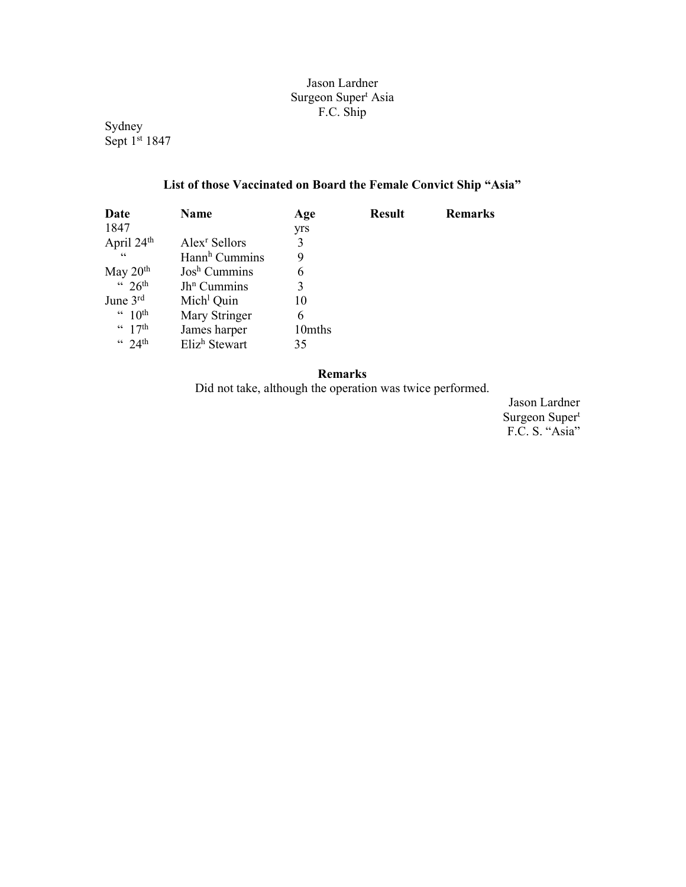## Jason Lardner Surgeon Super<sup>t</sup> Asia F.C. Ship

Sydney Sept 1<sup>st</sup> 1847

# List of those Vaccinated on Board the Female Convict Ship "Asia"

| Date                            | Name                      | Age    | <b>Result</b> | <b>Remarks</b> |
|---------------------------------|---------------------------|--------|---------------|----------------|
| 1847                            |                           | yrs    |               |                |
| April 24 <sup>th</sup>          | Alex <sup>r</sup> Sellors | 3      |               |                |
| $\textsf{G}\,\textsf{G}$        | Hann <sup>h</sup> Cummins | 9      |               |                |
| May $20th$                      | $Josh$ Cummins            | 6      |               |                |
| $426$ <sup>th</sup>             | $Jh^n$ Cummins            | 3      |               |                |
| June $3rd$                      | Mich <sup>1</sup> Quin    | 10     |               |                |
| $4.10^{th}$                     | Mary Stringer             | 6      |               |                |
| $\frac{4}{17}$ th               | James harper              | 10mths |               |                |
| $\frac{4}{10}$ 24 <sup>th</sup> | Eliz <sup>h</sup> Stewart | 35     |               |                |

## Remarks

Did not take, although the operation was twice performed.

Jason Lardner Surgeon Super<sup>t</sup> F.C. S. "Asia"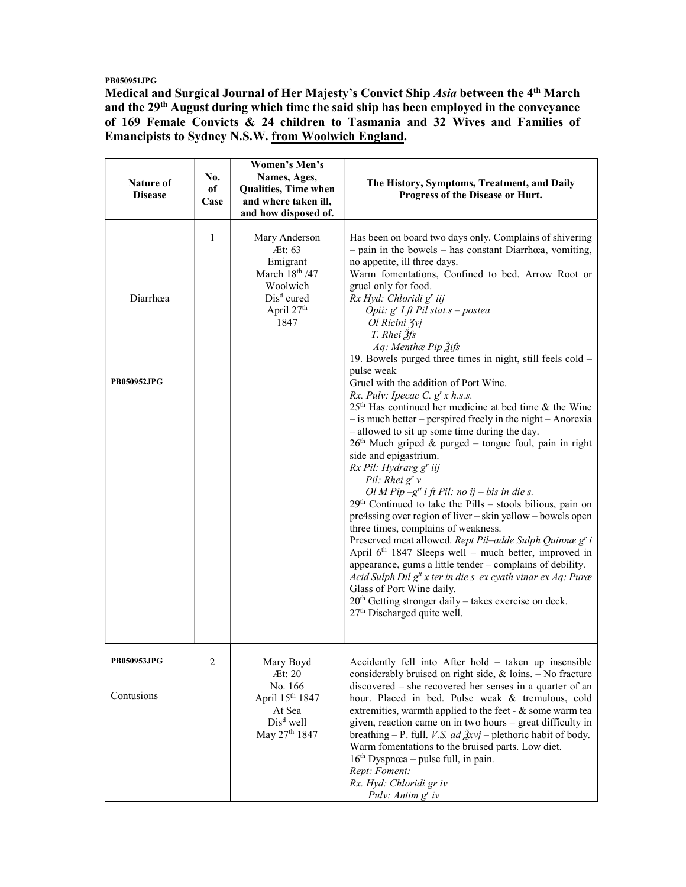PB050951JPG

Medical and Surgical Journal of Her Majesty's Convict Ship Asia between the 4<sup>th</sup> March and the 29<sup>th</sup> August during which time the said ship has been employed in the conveyance of 169 Female Convicts & 24 children to Tasmania and 32 Wives and Families of Emancipists to Sydney N.S.W. from Woolwich England.

| Nature of<br><b>Disease</b>    | No.<br>оf<br>Case | Women's Men's<br>Names, Ages,<br>Qualities, Time when<br>and where taken ill,<br>and how disposed of.               | The History, Symptoms, Treatment, and Daily<br>Progress of the Disease or Hurt.                                                                                                                                                                                                                                                                                                                                                                                                                                                                                                                                                                                                                                                                                                                                                                                                                                                                                                                                                                                                                                                                                                                                                                                                                                                                                                                                                                                                |
|--------------------------------|-------------------|---------------------------------------------------------------------------------------------------------------------|--------------------------------------------------------------------------------------------------------------------------------------------------------------------------------------------------------------------------------------------------------------------------------------------------------------------------------------------------------------------------------------------------------------------------------------------------------------------------------------------------------------------------------------------------------------------------------------------------------------------------------------------------------------------------------------------------------------------------------------------------------------------------------------------------------------------------------------------------------------------------------------------------------------------------------------------------------------------------------------------------------------------------------------------------------------------------------------------------------------------------------------------------------------------------------------------------------------------------------------------------------------------------------------------------------------------------------------------------------------------------------------------------------------------------------------------------------------------------------|
| Diarrhœa<br><b>PB050952JPG</b> | 1                 | Mary Anderson<br>Æt: 63<br>Emigrant<br>March 18th /47<br>Woolwich<br>$Disd$ cured<br>April 27 <sup>th</sup><br>1847 | Has been on board two days only. Complains of shivering<br>$-$ pain in the bowels $-$ has constant Diarrhœa, vomiting,<br>no appetite, ill three days.<br>Warm fomentations, Confined to bed. Arrow Root or<br>gruel only for food.<br>Rx Hyd: Chloridi g' iij<br>Opii: g' I ft Pil stat.s - postea<br>Ol Ricini Zvj<br>T. Rhei 3fs<br>Aq: Menthæ Pip Žifs<br>19. Bowels purged three times in night, still feels cold -<br>pulse weak<br>Gruel with the addition of Port Wine.<br>Rx. Pulv: Ipecac C. $g^{r}x$ h.s.s.<br>25 <sup>th</sup> Has continued her medicine at bed time & the Wine<br>$-$ is much better – perspired freely in the night – Anorexia<br>- allowed to sit up some time during the day.<br>$26th$ Much griped & purged – tongue foul, pain in right<br>side and epigastrium.<br>Rx Pil: Hydrarg g' iij<br>Pil: Rhei $g^{r} v$<br>Ol M Pip $-gtt$ i ft Pil: no ij – bis in die s.<br>$29th$ Continued to take the Pills – stools bilious, pain on<br>pre4ssing over region of liver - skin yellow - bowels open<br>three times, complains of weakness.<br>Preserved meat allowed. Rept Pil-adde Sulph Quinnæ g' i<br>April 6 <sup>th</sup> 1847 Sleeps well - much better, improved in<br>appearance, gums a little tender - complains of debility.<br>Acid Sulph Dil $g^t x$ ter in die s ex cyath vinar ex Aq: Puræ<br>Glass of Port Wine daily.<br>$20th$ Getting stronger daily – takes exercise on deck.<br>27 <sup>th</sup> Discharged quite well. |
| PB050953JPG<br>Contusions      | 2                 | Mary Boyd<br>Æt: 20<br>No. 166<br>April 15th 1847<br>At Sea<br>Dis <sup>d</sup> well<br>May 27 <sup>th</sup> 1847   | Accidently fell into After hold - taken up insensible<br>considerably bruised on right side, $&$ loins. $-$ No fracture<br>discovered – she recovered her senses in a quarter of an<br>hour. Placed in bed. Pulse weak & tremulous, cold<br>extremities, warmth applied to the feet - & some warm tea<br>given, reaction came on in two hours - great difficulty in<br>breathing – P. full. <i>V.S. ad <math>\frac{3}{2}xyj</math></i> – plethoric habit of body.<br>Warm fomentations to the bruised parts. Low diet.<br>$16th Dyspnæa – pulse full, in pain.$<br>Rept: Foment:<br>Rx. Hyd: Chloridi gr iv<br>Pulv: $Antim gr iv$                                                                                                                                                                                                                                                                                                                                                                                                                                                                                                                                                                                                                                                                                                                                                                                                                                             |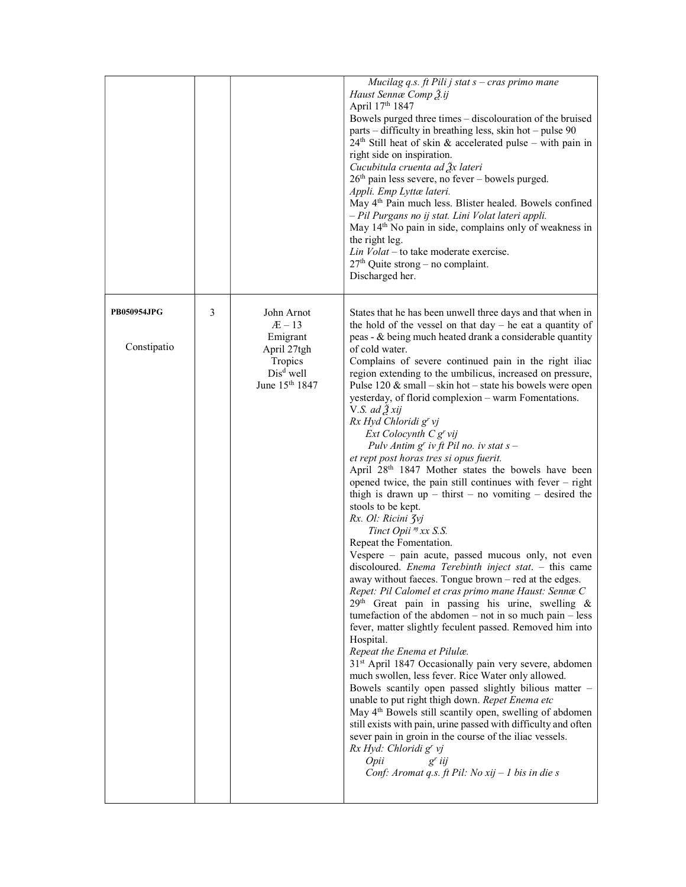|                                   |   |                                                                                                          | Mucilag q.s. ft Pili j stat $s$ – cras primo mane<br>Haust Sennæ Comp 3.ij<br>April 17th 1847<br>Bowels purged three times - discolouration of the bruised<br>parts – difficulty in breathing less, skin hot – pulse 90<br>$24th$ Still heat of skin & accelerated pulse – with pain in<br>right side on inspiration.<br>Cucubitula cruenta ad $\frac{3}{2}x$ lateri<br>$26th$ pain less severe, no fever – bowels purged.<br>Appli. Emp Lyttæ lateri.<br>May 4 <sup>th</sup> Pain much less. Blister healed. Bowels confined<br>- Pil Purgans no ij stat. Lini Volat lateri appli.<br>May 14 <sup>th</sup> No pain in side, complains only of weakness in<br>the right leg.<br>Lin $Volat$ – to take moderate exercise.<br>27 <sup>th</sup> Quite strong - no complaint.<br>Discharged her.                                                                                                                                                                                                                                                                                                                                                                                                                                                                                                                                                                                                                                                                                                                                                                                                                                                                                                                                                                                                                                                                                                                                                                   |
|-----------------------------------|---|----------------------------------------------------------------------------------------------------------|----------------------------------------------------------------------------------------------------------------------------------------------------------------------------------------------------------------------------------------------------------------------------------------------------------------------------------------------------------------------------------------------------------------------------------------------------------------------------------------------------------------------------------------------------------------------------------------------------------------------------------------------------------------------------------------------------------------------------------------------------------------------------------------------------------------------------------------------------------------------------------------------------------------------------------------------------------------------------------------------------------------------------------------------------------------------------------------------------------------------------------------------------------------------------------------------------------------------------------------------------------------------------------------------------------------------------------------------------------------------------------------------------------------------------------------------------------------------------------------------------------------------------------------------------------------------------------------------------------------------------------------------------------------------------------------------------------------------------------------------------------------------------------------------------------------------------------------------------------------------------------------------------------------------------------------------------------------|
| <b>PB050954JPG</b><br>Constipatio | 3 | John Arnot<br>$AE-13$<br>Emigrant<br>April 27tgh<br>Tropics<br>$Disd$ well<br>June 15 <sup>th</sup> 1847 | States that he has been unwell three days and that when in<br>the hold of the vessel on that $day - he$ eat a quantity of<br>peas - & being much heated drank a considerable quantity<br>of cold water.<br>Complains of severe continued pain in the right iliac<br>region extending to the umbilicus, increased on pressure,<br>Pulse $120 \&$ small – skin hot – state his bowels were open<br>yesterday, of florid complexion - warm Fomentations.<br>V.S. ad $\tilde{Z}$ xij<br>Rx Hyd Chloridi g' vj<br>$Ext$ Colocynth $Cg'$ vij<br>Pulv Antim $g^r$ iv ft Pil no. iv stat $s$ -<br>et rept post horas tres si opus fuerit.<br>April 28 <sup>th</sup> 1847 Mother states the bowels have been<br>opened twice, the pain still continues with fever $-$ right<br>thigh is drawn $up$ – thirst – no vomiting – desired the<br>stools to be kept.<br>Rx. Ol: Ricini 3vj<br>Tinct Opii <sup>n</sup> xx S.S.<br>Repeat the Fomentation.<br>Vespere - pain acute, passed mucous only, not even<br>discoloured. Enema Terebinth inject stat. - this came<br>away without faeces. Tongue brown - red at the edges.<br>Repet: Pil Calomel et cras primo mane Haust: Sennæ C<br>29 <sup>th</sup> Great pain in passing his urine, swelling &<br>tumefaction of the abdomen $-$ not in so much pain $-$ less<br>fever, matter slightly feculent passed. Removed him into<br>Hospital.<br>Repeat the Enema et Pilulæ.<br>31 <sup>st</sup> April 1847 Occasionally pain very severe, abdomen<br>much swollen, less fever. Rice Water only allowed.<br>Bowels scantily open passed slightly bilious matter -<br>unable to put right thigh down. Repet Enema etc<br>May 4 <sup>th</sup> Bowels still scantily open, swelling of abdomen<br>still exists with pain, urine passed with difficulty and often<br>sever pain in groin in the course of the iliac vessels.<br>Rx Hyd: Chloridi g' vj<br>Opii<br>$g'$ iij<br>Conf: Aromat q.s. ft Pil: No xij - 1 bis in die s |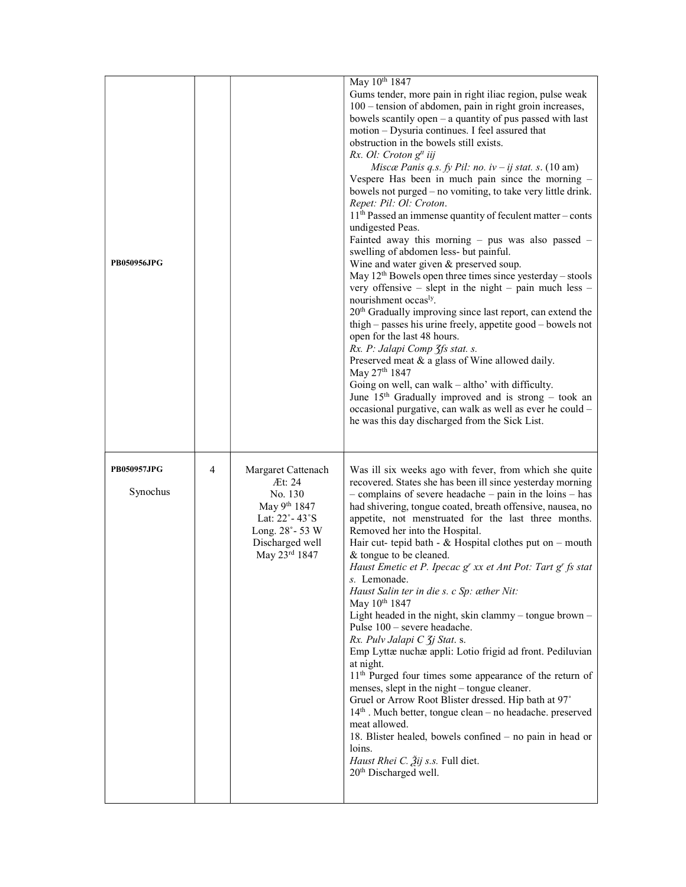|                    |   |                         | May 10th 1847<br>Gums tender, more pain in right iliac region, pulse weak                                                    |
|--------------------|---|-------------------------|------------------------------------------------------------------------------------------------------------------------------|
|                    |   |                         | 100 - tension of abdomen, pain in right groin increases,                                                                     |
|                    |   |                         | bowels scantily open $-$ a quantity of pus passed with last<br>motion - Dysuria continues. I feel assured that               |
|                    |   |                         | obstruction in the bowels still exists.                                                                                      |
|                    |   |                         | Rx. Ol: Croton g <sup>tt</sup> iij                                                                                           |
|                    |   |                         | Miscæ Panis q.s. fy Pil: no. iv - ij stat. s. $(10 \text{ am})$                                                              |
|                    |   |                         | Vespere Has been in much pain since the morning -<br>bowels not purged – no vomiting, to take very little drink.             |
|                    |   |                         | Repet: Pil: Ol: Croton.                                                                                                      |
|                    |   |                         | $11th$ Passed an immense quantity of feculent matter – conts                                                                 |
|                    |   |                         | undigested Peas.<br>Fainted away this morning $-$ pus was also passed $-$                                                    |
|                    |   |                         | swelling of abdomen less- but painful.                                                                                       |
| <b>PB050956JPG</b> |   |                         | Wine and water given & preserved soup.                                                                                       |
|                    |   |                         | May $12th$ Bowels open three times since yesterday – stools<br>very offensive $-$ slept in the night $-$ pain much less $-$  |
|                    |   |                         | nourishment occas <sup>ly</sup> .                                                                                            |
|                    |   |                         | 20 <sup>th</sup> Gradually improving since last report, can extend the                                                       |
|                    |   |                         | thigh – passes his urine freely, appetite good – bowels not<br>open for the last 48 hours.                                   |
|                    |   |                         | Rx. P: Jalapi Comp 3fs stat. s.                                                                                              |
|                    |   |                         | Preserved meat & a glass of Wine allowed daily.                                                                              |
|                    |   |                         | May 27th 1847<br>Going on well, can walk - altho' with difficulty.                                                           |
|                    |   |                         | June $15th$ Gradually improved and is strong – took an                                                                       |
|                    |   |                         | occasional purgative, can walk as well as ever he could -                                                                    |
|                    |   |                         | he was this day discharged from the Sick List.                                                                               |
|                    |   |                         |                                                                                                                              |
| <b>PB050957JPG</b> | 4 | Margaret Cattenach      | Was ill six weeks ago with fever, from which she quite                                                                       |
| Synochus           |   | Æt: 24                  | recovered. States she has been ill since yesterday morning                                                                   |
|                    |   | No. 130<br>May 9th 1847 | $-$ complains of severe headache $-$ pain in the loins $-$ has<br>had shivering, tongue coated, breath offensive, nausea, no |
|                    |   |                         |                                                                                                                              |
|                    |   | Lat: 22°-43°S           | appetite, not menstruated for the last three months.                                                                         |
|                    |   | Long. 28° - 53 W        | Removed her into the Hospital.                                                                                               |
|                    |   | Discharged well         | Hair cut- tepid bath - $&$ Hospital clothes put on - mouth                                                                   |
|                    |   | May 23rd 1847           | & tongue to be cleaned.<br>Haust Emetic et P. Ipecac g' xx et Ant Pot: Tart g' fs stat                                       |
|                    |   |                         | s. Lemonade.                                                                                                                 |
|                    |   |                         | Haust Salin ter in die s. c Sp: æther Nit:                                                                                   |
|                    |   |                         | May 10th 1847<br>Light headed in the night, skin clammy - tongue brown -                                                     |
|                    |   |                         | Pulse $100$ – severe headache.                                                                                               |
|                    |   |                         | Rx. Pulv Jalapi C 3j Stat. s.                                                                                                |
|                    |   |                         | Emp Lyttæ nuchæ appli: Lotio frigid ad front. Pediluvian<br>at night.                                                        |
|                    |   |                         | 11 <sup>th</sup> Purged four times some appearance of the return of                                                          |
|                    |   |                         | menses, slept in the night – tongue cleaner.                                                                                 |
|                    |   |                         | Gruel or Arrow Root Blister dressed. Hip bath at 97°<br>14th . Much better, tongue clean - no headache. preserved            |
|                    |   |                         | meat allowed.                                                                                                                |
|                    |   |                         | 18. Blister healed, bowels confined - no pain in head or                                                                     |
|                    |   |                         | loins.<br><i>Haust Rhei C. 2ij s.s.</i> Full diet.                                                                           |
|                    |   |                         | 20 <sup>th</sup> Discharged well.                                                                                            |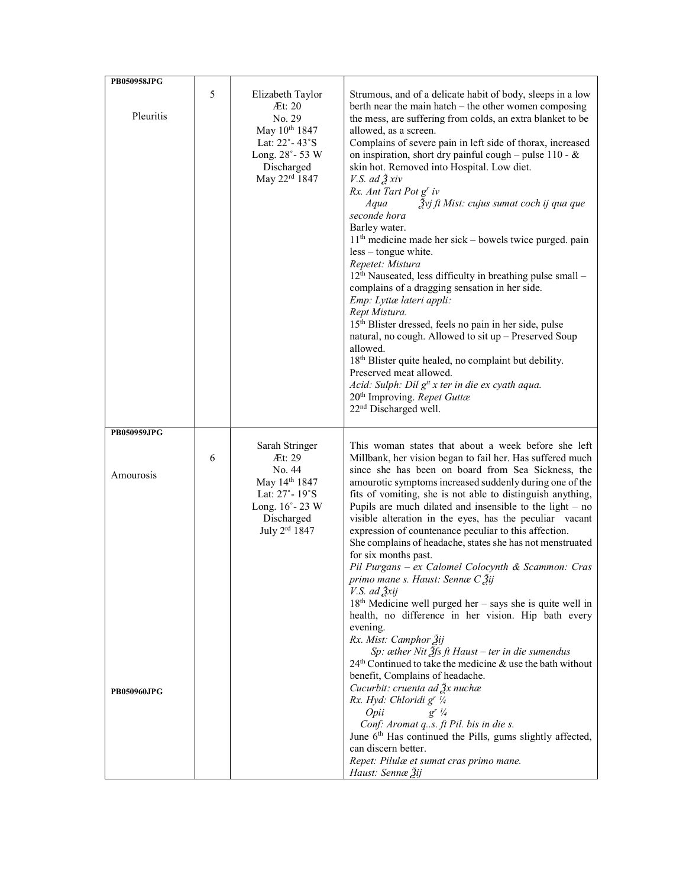| PB050958JPG                     |   |                                                                                                                                     |                                                                                                                                                                                                                                                                                                                                                                                                                                                                                                                                                                                                                                                                                                                                                                                                                                                                                                                                                                                                                                                                                                                                                                                                                        |
|---------------------------------|---|-------------------------------------------------------------------------------------------------------------------------------------|------------------------------------------------------------------------------------------------------------------------------------------------------------------------------------------------------------------------------------------------------------------------------------------------------------------------------------------------------------------------------------------------------------------------------------------------------------------------------------------------------------------------------------------------------------------------------------------------------------------------------------------------------------------------------------------------------------------------------------------------------------------------------------------------------------------------------------------------------------------------------------------------------------------------------------------------------------------------------------------------------------------------------------------------------------------------------------------------------------------------------------------------------------------------------------------------------------------------|
| Pleuritis                       | 5 | Elizabeth Taylor<br>Æt: 20<br>No. 29<br>May 10 <sup>th</sup> 1847<br>Lat: 22°-43°S<br>Long. 28°-53 W<br>Discharged<br>May 22rd 1847 | Strumous, and of a delicate habit of body, sleeps in a low<br>berth near the main hatch – the other women composing<br>the mess, are suffering from colds, an extra blanket to be<br>allowed, as a screen.<br>Complains of severe pain in left side of thorax, increased<br>on inspiration, short dry painful cough – pulse $110 - \&$<br>skin hot. Removed into Hospital. Low diet.<br>V.S. ad $\tilde{Z}$ xiv<br>Rx. Ant Tart Pot g' iv<br>Žvj ft Mist: cujus sumat coch ij qua que<br>Aqua<br>seconde hora<br>Barley water.<br>11 <sup>th</sup> medicine made her sick - bowels twice purged. pain<br>$less -tongue white.$<br>Repetet: Mistura<br>12 <sup>th</sup> Nauseated, less difficulty in breathing pulse small -<br>complains of a dragging sensation in her side.<br>Emp: Lyttæ lateri appli:<br>Rept Mistura.<br>15 <sup>th</sup> Blister dressed, feels no pain in her side, pulse<br>natural, no cough. Allowed to sit up - Preserved Soup<br>allowed.<br>18 <sup>th</sup> Blister quite healed, no complaint but debility.<br>Preserved meat allowed.<br>Acid: Sulph: Dil g <sup>tt</sup> x ter in die ex cyath aqua.<br>20 <sup>th</sup> Improving. Repet Guttæ<br>22 <sup>nd</sup> Discharged well. |
| PB050959JPG                     |   |                                                                                                                                     |                                                                                                                                                                                                                                                                                                                                                                                                                                                                                                                                                                                                                                                                                                                                                                                                                                                                                                                                                                                                                                                                                                                                                                                                                        |
| Amourosis<br><b>PB050960JPG</b> | 6 | Sarah Stringer<br>Æt: 29<br>No. 44<br>May 14th 1847<br>Lat: 27° - 19°S<br>Long. 16°-23 W<br>Discharged<br>July 2rd 1847             | This woman states that about a week before she left<br>Millbank, her vision began to fail her. Has suffered much<br>since she has been on board from Sea Sickness, the<br>amourotic symptoms increased suddenly during one of the<br>fits of vomiting, she is not able to distinguish anything,<br>Pupils are much dilated and insensible to the light $-$ no<br>visible alteration in the eyes, has the peculiar vacant<br>expression of countenance peculiar to this affection.<br>She complains of headache, states she has not menstruated<br>for six months past.<br>Pil Purgans - ex Calomel Colocynth & Scammon: Cras<br>primo mane s. Haust: Sennæ C 3ij<br>V.S. ad $3xij$<br>18 <sup>th</sup> Medicine well purged her - says she is quite well in<br>health, no difference in her vision. Hip bath every<br>evening.<br>Rx. Mist: Camphor Žij<br>Sp: æther Nit Ѯfs ft Haust - ter in die sumendus<br>$24th$ Continued to take the medicine & use the bath without<br>benefit, Complains of headache.<br>Cucurbit: cruenta ad $\frac{3}{2}x$ nuchæ<br>Rx. Hyd: Chloridi gr 1/4<br>Opii<br>$g^r \frac{1}{4}$                                                                                                   |
|                                 |   |                                                                                                                                     | Conf: Aromat q.s. ft Pil. bis in die s.<br>June 6 <sup>th</sup> Has continued the Pills, gums slightly affected,<br>can discern better.<br>Repet: Pilulæ et sumat cras primo mane.<br>Haust: Sennæ Žij                                                                                                                                                                                                                                                                                                                                                                                                                                                                                                                                                                                                                                                                                                                                                                                                                                                                                                                                                                                                                 |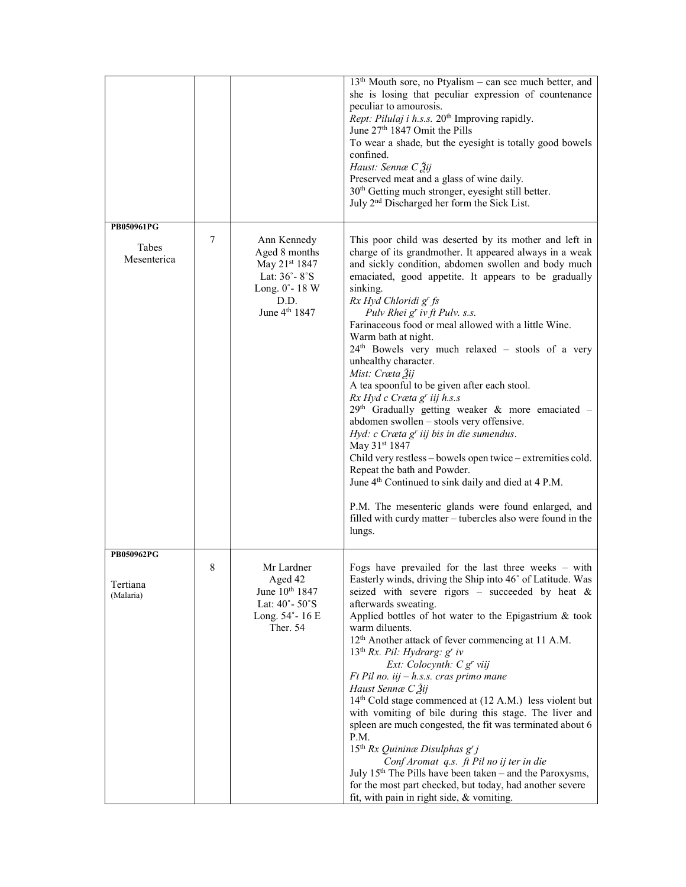|                       |   |                                                                                                                     | $13th$ Mouth sore, no Ptyalism – can see much better, and<br>she is losing that peculiar expression of countenance<br>peculiar to amourosis.<br>Rept: Pilulaj i h.s.s. 20 <sup>th</sup> Improving rapidly.<br>June 27 <sup>th</sup> 1847 Omit the Pills<br>To wear a shade, but the eyesight is totally good bowels<br>confined.<br>Haust: Sennæ C Ѯij<br>Preserved meat and a glass of wine daily.<br>30 <sup>th</sup> Getting much stronger, eyesight still better.<br>July 2 <sup>nd</sup> Discharged her form the Sick List.                                                                                                                                                                                                                                                                                                                                                                                                                                                                                                                              |
|-----------------------|---|---------------------------------------------------------------------------------------------------------------------|---------------------------------------------------------------------------------------------------------------------------------------------------------------------------------------------------------------------------------------------------------------------------------------------------------------------------------------------------------------------------------------------------------------------------------------------------------------------------------------------------------------------------------------------------------------------------------------------------------------------------------------------------------------------------------------------------------------------------------------------------------------------------------------------------------------------------------------------------------------------------------------------------------------------------------------------------------------------------------------------------------------------------------------------------------------|
| PB050961PG            |   |                                                                                                                     |                                                                                                                                                                                                                                                                                                                                                                                                                                                                                                                                                                                                                                                                                                                                                                                                                                                                                                                                                                                                                                                               |
| Tabes<br>Mesenterica  | 7 | Ann Kennedy<br>Aged 8 months<br>May 21st 1847<br>Lat: 36°-8°S<br>Long. 0°-18 W<br>D.D.<br>June 4 <sup>th</sup> 1847 | This poor child was deserted by its mother and left in<br>charge of its grandmother. It appeared always in a weak<br>and sickly condition, abdomen swollen and body much<br>emaciated, good appetite. It appears to be gradually<br>sinking.<br>Rx Hyd Chloridi g' fs<br>Pulv Rhei g' iv ft Pulv. s.s.<br>Farinaceous food or meal allowed with a little Wine.<br>Warm bath at night.<br>24 <sup>th</sup> Bowels very much relaxed - stools of a very<br>unhealthy character.<br>Mist: Cræta Žij<br>A tea spoonful to be given after each stool.<br>Rx Hyd c Cræta g' iij h.s.s<br>$29th$ Gradually getting weaker & more emaciated -<br>abdomen swollen - stools very offensive.<br>Hyd: $c$ Cræta g' iij bis in die sumendus.<br>May 31 <sup>st</sup> 1847<br>Child very restless - bowels open twice - extremities cold.<br>Repeat the bath and Powder.<br>June 4 <sup>th</sup> Continued to sink daily and died at 4 P.M.<br>P.M. The mesenteric glands were found enlarged, and<br>filled with curdy matter - tubercles also were found in the<br>lungs. |
| PB050962PG            |   |                                                                                                                     |                                                                                                                                                                                                                                                                                                                                                                                                                                                                                                                                                                                                                                                                                                                                                                                                                                                                                                                                                                                                                                                               |
| Tertiana<br>(Malaria) | 8 | Mr Lardner<br>Aged 42<br>June 10 <sup>th</sup> 1847<br>Lat: 40°-50°S<br>Long. 54°-16 E<br>Ther. 54                  | Fogs have prevailed for the last three weeks $-$ with<br>Easterly winds, driving the Ship into 46° of Latitude. Was<br>seized with severe rigors – succeeded by heat $\&$<br>afterwards sweating.<br>Applied bottles of hot water to the Epigastrium & took<br>warm diluents.<br>12 <sup>th</sup> Another attack of fever commencing at 11 A.M.<br>$13th Rx$ . Pil: Hydrarg: g' iv<br>Ext: Colocynth: C g' viij<br>$Ft$ Pil no. iij $-h.s.s.$ cras primo mane<br>Haust Sennæ C Žij<br>14 <sup>th</sup> Cold stage commenced at (12 A.M.) less violent but<br>with vomiting of bile during this stage. The liver and<br>spleen are much congested, the fit was terminated about 6<br>P.M.<br>15 <sup>th</sup> Rx Quininæ Disulphas $g'j$<br>Conf Aromat q.s. ft Pil no ij ter in die<br>July $15th$ The Pills have been taken – and the Paroxysms,<br>for the most part checked, but today, had another severe<br>fit, with pain in right side, & vomiting.                                                                                                    |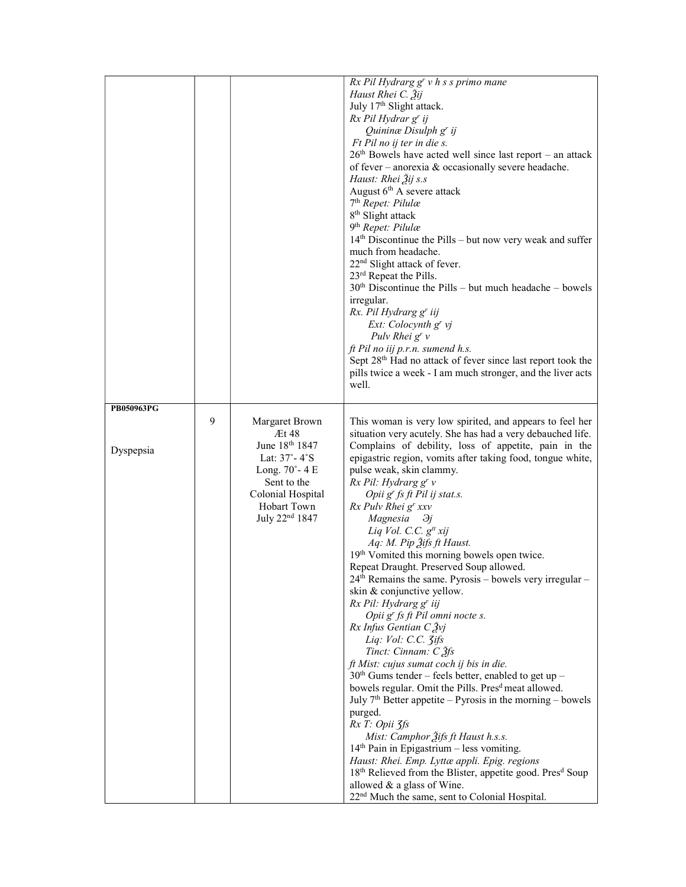|            |   |                            | Rx Pil Hydrarg g' v h s s primo mane                                                                                      |
|------------|---|----------------------------|---------------------------------------------------------------------------------------------------------------------------|
|            |   |                            | Haust Rhei C. Žij                                                                                                         |
|            |   |                            | July 17th Slight attack.                                                                                                  |
|            |   |                            | Rx Pil Hydrar g' ij                                                                                                       |
|            |   |                            | Quininæ Disulph g' ij                                                                                                     |
|            |   |                            | Ft Pil no ij ter in die s.                                                                                                |
|            |   |                            | $26th$ Bowels have acted well since last report – an attack<br>of fever - anorexia & occasionally severe headache.        |
|            |   |                            | Haust: Rhei Žij s.s                                                                                                       |
|            |   |                            | August 6 <sup>th</sup> A severe attack                                                                                    |
|            |   |                            | 7 <sup>th</sup> Repet: Pilulæ                                                                                             |
|            |   |                            | 8 <sup>th</sup> Slight attack                                                                                             |
|            |   |                            | 9 <sup>th</sup> Repet: Pilulæ                                                                                             |
|            |   |                            | $14th$ Discontinue the Pills – but now very weak and suffer                                                               |
|            |   |                            | much from headache.                                                                                                       |
|            |   |                            | 22 <sup>nd</sup> Slight attack of fever.                                                                                  |
|            |   |                            | 23 <sup>rd</sup> Repeat the Pills.                                                                                        |
|            |   |                            | $30th$ Discontinue the Pills – but much headache – bowels                                                                 |
|            |   |                            | irregular.<br>Rx. Pil Hydrarg g' iij                                                                                      |
|            |   |                            | Ext: Colocynth g' vj                                                                                                      |
|            |   |                            | Pulv Rhei $g^{r}v$                                                                                                        |
|            |   |                            | ft Pil no iij p.r.n. sumend h.s.                                                                                          |
|            |   |                            | Sept 28 <sup>th</sup> Had no attack of fever since last report took the                                                   |
|            |   |                            | pills twice a week - I am much stronger, and the liver acts                                                               |
|            |   |                            | well.                                                                                                                     |
|            |   |                            |                                                                                                                           |
| PB050963PG |   |                            |                                                                                                                           |
|            | 9 | Margaret Brown<br>Æt 48    | This woman is very low spirited, and appears to feel her<br>situation very acutely. She has had a very debauched life.    |
|            |   | June 18th 1847             | Complains of debility, loss of appetite, pain in the                                                                      |
| Dyspepsia  |   | Lat: 37°-4°S               | epigastric region, vomits after taking food, tongue white,                                                                |
|            |   | Long. $70^\circ$ -4 E      | pulse weak, skin clammy.                                                                                                  |
|            |   | Sent to the                | Rx Pil: Hydrarg g' v                                                                                                      |
|            |   | Colonial Hospital          | Opii g <sup>r</sup> fs ft Pil ij stat.s.                                                                                  |
|            |   | Hobart Town                | Rx Pulv Rhei g' xxv                                                                                                       |
|            |   | July 22 <sup>nd</sup> 1847 | Magnesia $\partial j$                                                                                                     |
|            |   |                            | Liq Vol. C.C. g <sup>tt</sup> xij                                                                                         |
|            |   |                            | Aq: M. Pip 2ifs ft Haust.<br>19th Vomited this morning bowels open twice.                                                 |
|            |   |                            | Repeat Draught. Preserved Soup allowed.                                                                                   |
|            |   |                            | 24 <sup>th</sup> Remains the same. Pyrosis - bowels very irregular                                                        |
|            |   |                            | skin & conjunctive yellow.                                                                                                |
|            |   |                            | Rx Pil: Hydrarg g' iij                                                                                                    |
|            |   |                            | Opii g' fs ft Pil omni nocte s.                                                                                           |
|            |   |                            | $Rx$ Infus Gentian $C_2^y$                                                                                                |
|            |   |                            | Liq: Vol: C.C. 3ifs                                                                                                       |
|            |   |                            | Tinct: Cinnam: $C \tilde{Z}$ fs                                                                                           |
|            |   |                            | ft Mist: cujus sumat coch ij bis in die.                                                                                  |
|            |   |                            | $30th$ Gums tender – feels better, enabled to get up –<br>bowels regular. Omit the Pills. Pres <sup>d</sup> meat allowed. |
|            |   |                            | July $7th$ Better appetite – Pyrosis in the morning – bowels                                                              |
|            |   |                            | purged.                                                                                                                   |
|            |   |                            | Rx T: Opii 3fs                                                                                                            |
|            |   |                            | Mist: Camphor 3ifs ft Haust h.s.s.                                                                                        |
|            |   |                            | $14th$ Pain in Epigastrium – less vomiting.                                                                               |
|            |   |                            | Haust: Rhei. Emp. Lyttæ appli. Epig. regions                                                                              |
|            |   |                            | 18 <sup>th</sup> Relieved from the Blister, appetite good. Pres <sup>d</sup> Soup                                         |
|            |   |                            | allowed & a glass of Wine.                                                                                                |
|            |   |                            | 22 <sup>nd</sup> Much the same, sent to Colonial Hospital.                                                                |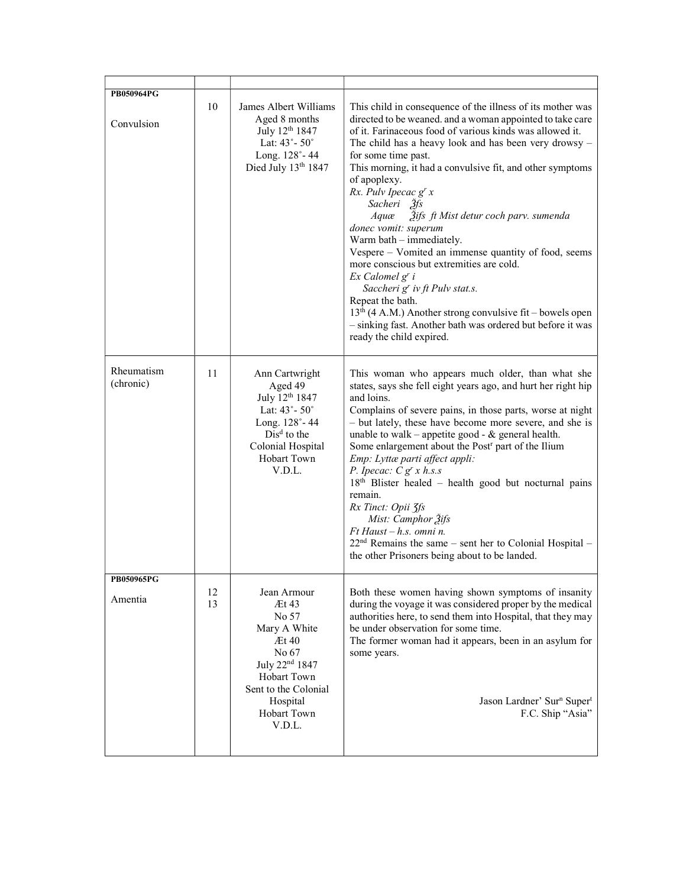| PB050964PG              |          |                                                                                                                                                                                |                                                                                                                                                                                                                                                                                                                                                                                                                                                                                                                                                                                                                                                                                                                                                                                                                                    |
|-------------------------|----------|--------------------------------------------------------------------------------------------------------------------------------------------------------------------------------|------------------------------------------------------------------------------------------------------------------------------------------------------------------------------------------------------------------------------------------------------------------------------------------------------------------------------------------------------------------------------------------------------------------------------------------------------------------------------------------------------------------------------------------------------------------------------------------------------------------------------------------------------------------------------------------------------------------------------------------------------------------------------------------------------------------------------------|
|                         |          |                                                                                                                                                                                |                                                                                                                                                                                                                                                                                                                                                                                                                                                                                                                                                                                                                                                                                                                                                                                                                                    |
| Convulsion              | 10       | James Albert Williams<br>Aged 8 months<br>July 12 <sup>th</sup> 1847<br>Lat: $43^{\circ} - 50^{\circ}$<br>Long. 128°-44<br>Died July 13th 1847                                 | This child in consequence of the illness of its mother was<br>directed to be weaned. and a woman appointed to take care<br>of it. Farinaceous food of various kinds was allowed it.<br>The child has a heavy look and has been very drowsy -<br>for some time past.<br>This morning, it had a convulsive fit, and other symptoms<br>of apoplexy.<br>Rx. Pulv Ipecac g' x<br>Sacheri 3fs<br>Žifs ft Mist detur coch parv. sumenda<br>Aquæ<br>donec vomit: superum<br>Warm bath – immediately.<br>Vespere - Vomited an immense quantity of food, seems<br>more conscious but extremities are cold.<br>Ex Calomel g' i<br>Saccheri g' iv ft Pulv stat.s.<br>Repeat the bath.<br>$13th$ (4 A.M.) Another strong convulsive fit – bowels open<br>- sinking fast. Another bath was ordered but before it was<br>ready the child expired. |
| Rheumatism<br>(chronic) | 11       | Ann Cartwright<br>Aged 49<br>July 12 <sup>th</sup> 1847<br>Lat: $43^\circ$ - $50^\circ$<br>Long. 128°-44<br>$Disd$ to the<br>Colonial Hospital<br><b>Hobart Town</b><br>V.D.L. | This woman who appears much older, than what she<br>states, says she fell eight years ago, and hurt her right hip<br>and loins.<br>Complains of severe pains, in those parts, worse at night<br>- but lately, these have become more severe, and she is<br>unable to walk - appetite good - $&$ general health.<br>Some enlargement about the Post <sup>r</sup> part of the Ilium<br>Emp: Lyttæ parti affect appli:<br>P. Ipecac: $C g^{r} x h.s.s$<br>$18th$ Blister healed – health good but nocturnal pains<br>remain.<br>Rx Tinct: Opii 3fs<br>Mist: Camphor 2ifs<br>Ft Haust - h.s. omni n.<br>$22nd$ Remains the same – sent her to Colonial Hospital –<br>the other Prisoners being about to be landed.                                                                                                                     |
| <b>PB050965PG</b>       |          |                                                                                                                                                                                |                                                                                                                                                                                                                                                                                                                                                                                                                                                                                                                                                                                                                                                                                                                                                                                                                                    |
| Amentia                 | 12<br>13 | Jean Armour<br>Æt 43<br>No 57<br>Mary A White<br>Et40<br>No 67<br>July 22 <sup>nd</sup> 1847<br>Hobart Town<br>Sent to the Colonial<br>Hospital<br>Hobart Town<br>V.D.L.       | Both these women having shown symptoms of insanity<br>during the voyage it was considered proper by the medical<br>authorities here, to send them into Hospital, that they may<br>be under observation for some time.<br>The former woman had it appears, been in an asylum for<br>some years.<br>Jason Lardner' Sur <sup>n</sup> Super <sup>t</sup><br>F.C. Ship "Asia"                                                                                                                                                                                                                                                                                                                                                                                                                                                           |
|                         |          |                                                                                                                                                                                |                                                                                                                                                                                                                                                                                                                                                                                                                                                                                                                                                                                                                                                                                                                                                                                                                                    |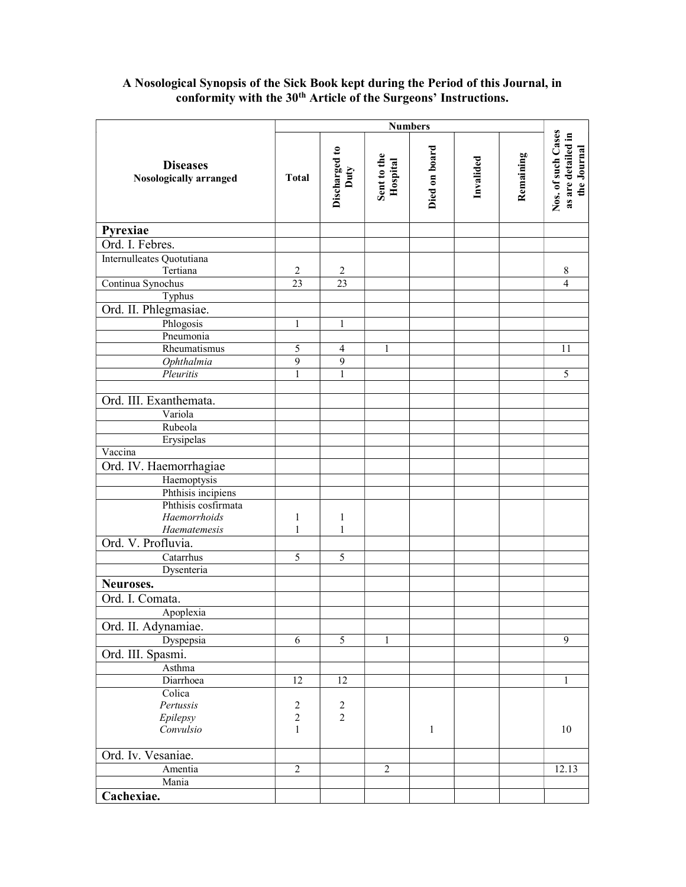#### **Diseases** Nosologically arranged Numbers<br>
Discharged to<br>
Duty<br>
Duty<br>
Hospital<br>
Died on board<br>
Died on board<br>
Invalided<br>
Invalided<br>
Remaining<br>
Remaining<br>
Remaining<br>
Nos. of such Cases<br>
as are detailed in Pyrexiae Ord. I. Febres. Internulleates Quotutiana Tertiana 2 2 2 8 Continua Synochus 23 23 23 4 4 Typhus Ord. II. Phlegmasiae. Phlogosis 1 1 1 Pneumonia Rheumatismus 5 4 1 11 Ophthalmia 9 9 Pleuritis 1 1 1 1 1 1 5 Ord. III. Exanthemata. Variola Rubeola Erysipelas Vaccina Ord. IV. Haemorrhagiae Haemoptysis Phthisis incipiens Phthisis cosfirmata Haemorrhoids Haematemesis 1 1 1 1 Ord. V. Profluvia. Catarrhus 5 5 Dysenteria Neuroses. Ord. I. Comata. Apoplexia Ord. II. Adynamiae. Dyspepsia 6 5 1 9 Ord. III. Spasmi. Asthma Diarrhoea 1 12 12 12 1 **Colica**  Pertussis Epilepsy Convulsio 2 2 1 2 2 1 | 10 Ord. Iv. Vesaniae. Amentia 2 2 2 2 12.13 Mania Cachexiae.

## A Nosological Synopsis of the Sick Book kept during the Period of this Journal, in conformity with the 30<sup>th</sup> Article of the Surgeons' Instructions.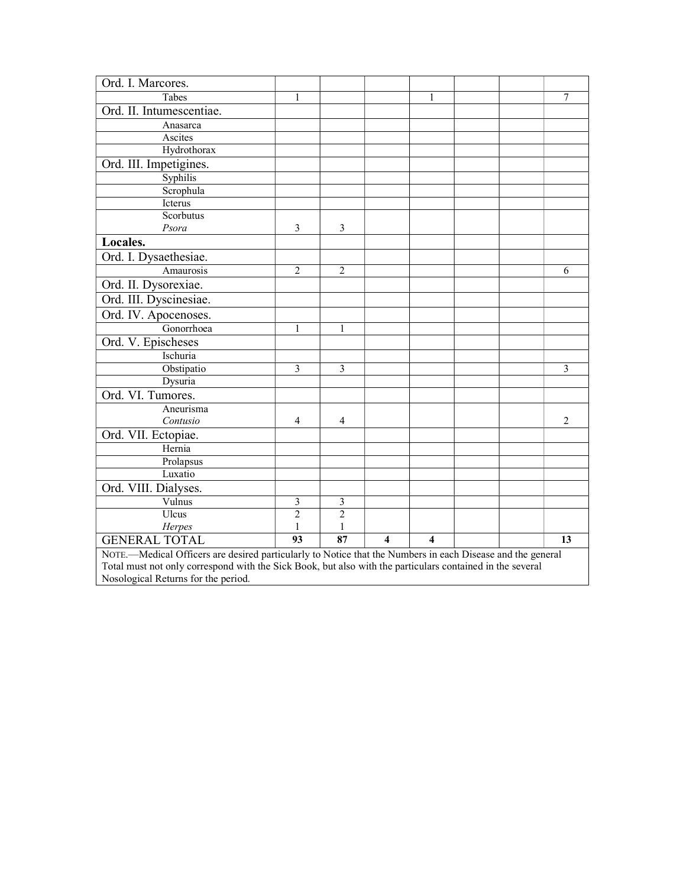| Ord. I. Marcores.                                                                                          |                |                |   |                     |  |    |
|------------------------------------------------------------------------------------------------------------|----------------|----------------|---|---------------------|--|----|
| Tabes                                                                                                      | 1              |                |   | 1                   |  | 7  |
| Ord. II. Intumescentiae.                                                                                   |                |                |   |                     |  |    |
| Anasarca                                                                                                   |                |                |   |                     |  |    |
| Ascites                                                                                                    |                |                |   |                     |  |    |
| Hydrothorax                                                                                                |                |                |   |                     |  |    |
| Ord. III. Impetigines.                                                                                     |                |                |   |                     |  |    |
| Syphilis                                                                                                   |                |                |   |                     |  |    |
| Scrophula                                                                                                  |                |                |   |                     |  |    |
| Icterus                                                                                                    |                |                |   |                     |  |    |
| Scorbutus                                                                                                  |                |                |   |                     |  |    |
| Psora                                                                                                      | $\mathfrak{Z}$ | 3              |   |                     |  |    |
| Locales.                                                                                                   |                |                |   |                     |  |    |
| Ord. I. Dysaethesiae.                                                                                      |                |                |   |                     |  |    |
| Amaurosis                                                                                                  | $\overline{2}$ | $\overline{2}$ |   |                     |  | 6  |
| Ord. II. Dysorexiae.                                                                                       |                |                |   |                     |  |    |
| Ord. III. Dyscinesiae.                                                                                     |                |                |   |                     |  |    |
| Ord. IV. Apocenoses.                                                                                       |                |                |   |                     |  |    |
| Gonorrhoea                                                                                                 | 1              | $\mathbf{1}$   |   |                     |  |    |
| Ord. V. Epischeses                                                                                         |                |                |   |                     |  |    |
| Ischuria                                                                                                   |                |                |   |                     |  |    |
| Obstipatio                                                                                                 | 3              | 3              |   |                     |  | 3  |
| Dysuria                                                                                                    |                |                |   |                     |  |    |
| Ord. VI. Tumores.                                                                                          |                |                |   |                     |  |    |
| Aneurisma                                                                                                  |                |                |   |                     |  |    |
| Contusio                                                                                                   | 4              | 4              |   |                     |  | 2  |
| Ord. VII. Ectopiae.                                                                                        |                |                |   |                     |  |    |
| Hernia                                                                                                     |                |                |   |                     |  |    |
| Prolapsus                                                                                                  |                |                |   |                     |  |    |
| Luxatio                                                                                                    |                |                |   |                     |  |    |
| Ord. VIII. Dialyses.                                                                                       |                |                |   |                     |  |    |
| Vulnus                                                                                                     | $\mathfrak{Z}$ | $\mathfrak{Z}$ |   |                     |  |    |
| Ulcus                                                                                                      | $\overline{2}$ | $\overline{2}$ |   |                     |  |    |
| Herpes                                                                                                     | 1              | 1              |   |                     |  |    |
| <b>GENERAL TOTAL</b>                                                                                       | 93             | 87             | 4 | $\overline{\bf{4}}$ |  | 13 |
| NOTE.—Medical Officers are desired particularly to Notice that the Numbers in each Disease and the general |                |                |   |                     |  |    |
| Total must not only correspond with the Sick Book, but also with the particulars contained in the several  |                |                |   |                     |  |    |
| Nosological Returns for the period.                                                                        |                |                |   |                     |  |    |